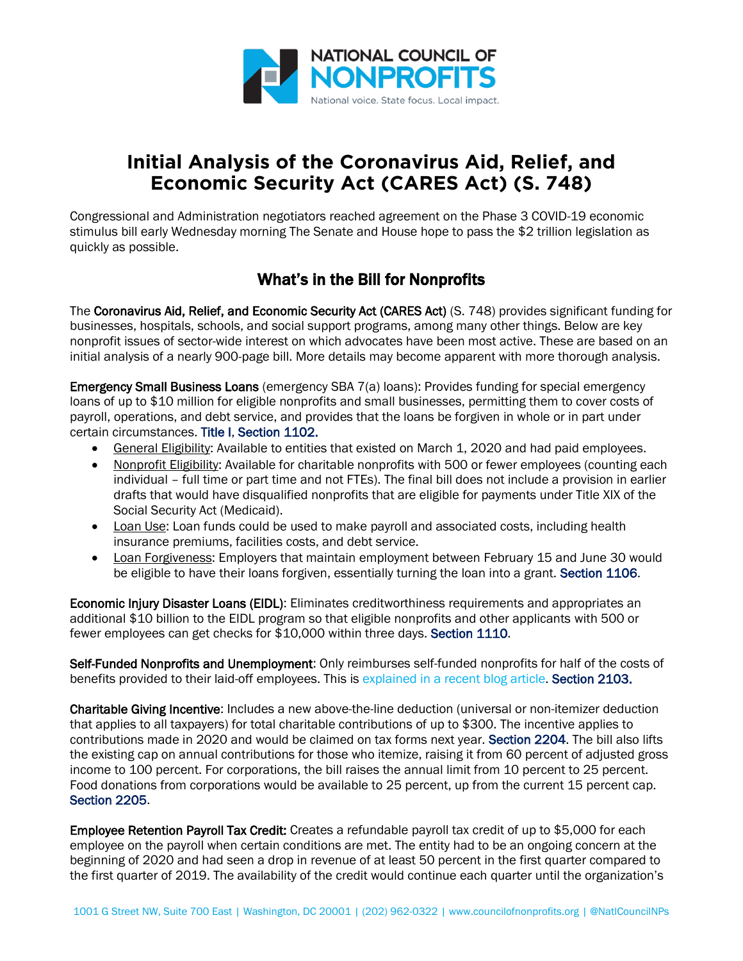

## **Initial Analysis of the Coronavirus Aid, Relief, and Economic Security Act (CARES Act) (S. 748)**

Congressional and Administration negotiators reached agreement on the Phase 3 COVID-19 economic stimulus bill early Wednesday morning The Senate and House hope to pass the \$2 trillion legislation as quickly as possible.

## What's in the Bill for Nonprofits

The Coronavirus Aid, Relief, and Economic Security Act (CARES Act) (S. 748) provides significant funding for businesses, hospitals, schools, and social support programs, among many other things. Below are key nonprofit issues of sector-wide interest on which advocates have been most active. These are based on an initial analysis of a nearly 900-page bill. More details may become apparent with more thorough analysis.

Emergency Small Business Loans (emergency SBA 7(a) loans): Provides funding for special emergency loans of up to \$10 million for eligible nonprofits and small businesses, permitting them to cover costs of payroll, operations, and debt service, and provides that the loans be forgiven in whole or in part under certain circumstances. Title I, Section 1102.

- General **Eligibility:** Available to entities that existed on March 1, 2020 and had paid employees.
- Nonprofit Eligibility: Available for charitable nonprofits with 500 or fewer employees (counting each individual – full time or part time and not FTEs). The final bill does not include a provision in earlier drafts that would have disqualified nonprofits that are eligible for payments under Title XIX of the Social Security Act (Medicaid).
- Loan Use: Loan funds could be used to make payroll and associated costs, including health insurance premiums, facilities costs, and debt service.
- Loan Forgiveness: Employers that maintain employment between February 15 and June 30 would be eligible to have their loans forgiven, essentially turning the loan into a grant. Section 1106.

Economic Injury Disaster Loans (EIDL): Eliminates creditworthiness requirements and appropriates an additional \$10 billion to the EIDL program so that eligible nonprofits and other applicants with 500 or fewer employees can get checks for \$10,000 within three days. Section 1110.

Self-Funded Nonprofits and Unemployment: Only reimburses self-funded nonprofits for half of the costs of benefits provided to their laid-off employees. This is explained in a [recent blog article.](https://www.councilofnonprofits.org/thought-leadership/self-insured-nonprofits-and-unemployment-insurance) Section 2103.

Charitable Giving Incentive: Includes a new above-the-line deduction (universal or non-itemizer deduction that applies to all taxpayers) for total charitable contributions of up to \$300. The incentive applies to contributions made in 2020 and would be claimed on tax forms next year. Section 2204. The bill also lifts the existing cap on annual contributions for those who itemize, raising it from 60 percent of adjusted gross income to 100 percent. For corporations, the bill raises the annual limit from 10 percent to 25 percent. Food donations from corporations would be available to 25 percent, up from the current 15 percent cap. Section 2205.

Employee Retention Payroll Tax Credit: Creates a refundable payroll tax credit of up to \$5,000 for each employee on the payroll when certain conditions are met. The entity had to be an ongoing concern at the beginning of 2020 and had seen a drop in revenue of at least 50 percent in the first quarter compared to the first quarter of 2019. The availability of the credit would continue each quarter until the organization's